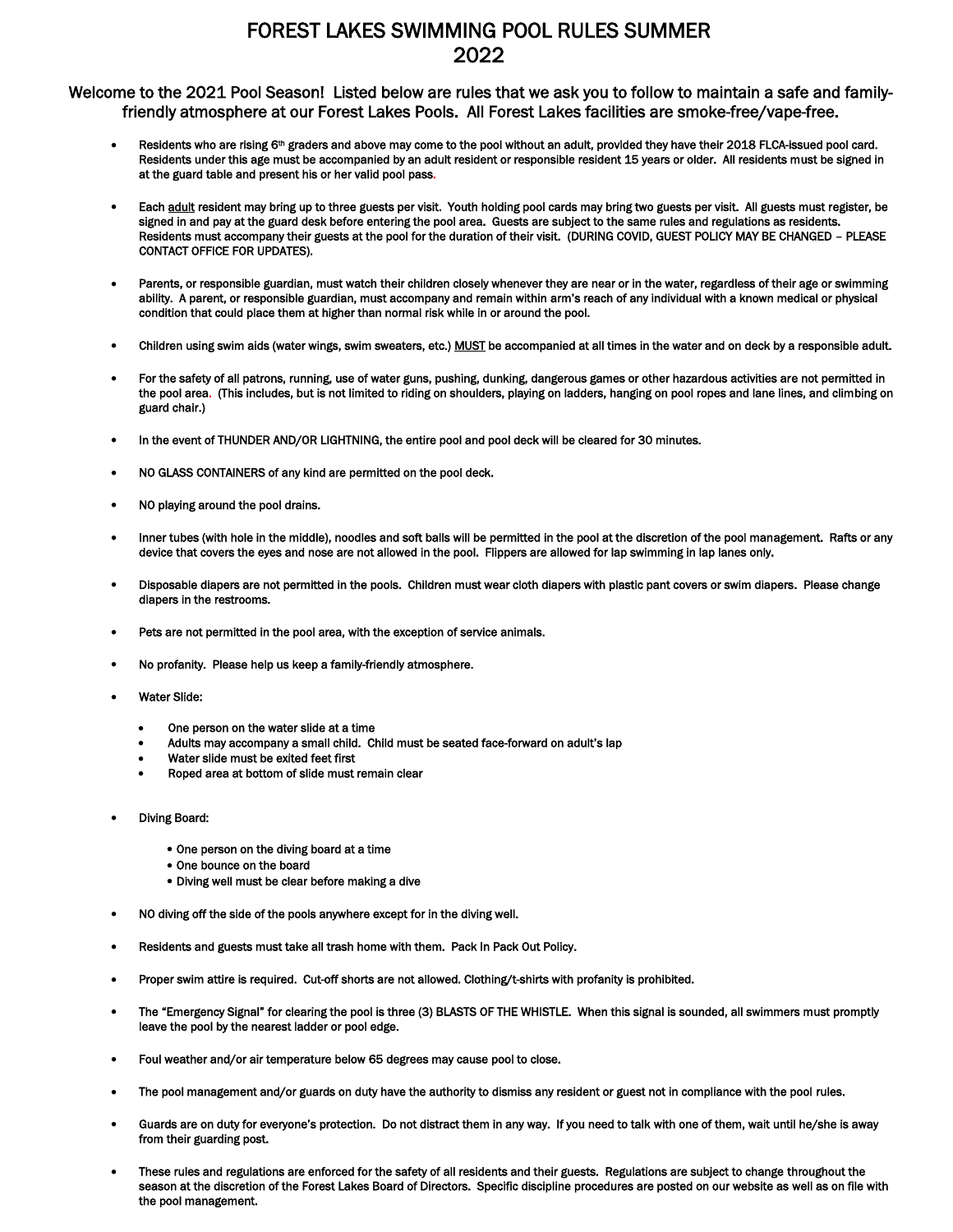## FOREST LAKES SWIMMING POOL RULES SUMMER 2022

Welcome to the 2021 Pool Season! Listed below are rules that we ask you to follow to maintain a safe and familyfriendly atmosphere at our Forest Lakes Pools. All Forest Lakes facilities are smoke-free/vape-free.

- Residents who are rising 6<sup>th</sup> graders and above may come to the pool without an adult, provided they have their 2018 FLCA-issued pool card. Residents under this age must be accompanied by an adult resident or responsible resident 15 years or older. All residents must be signed in at the guard table and present his or her valid pool pass.
- Each adult resident may bring up to three guests per visit. Youth holding pool cards may bring two guests per visit. All guests must register, be signed in and pay at the guard desk before entering the pool area. Guests are subject to the same rules and regulations as residents. Residents must accompany their guests at the pool for the duration of their visit. (DURING COVID, GUEST POLICY MAY BE CHANGED – PLEASE CONTACT OFFICE FOR UPDATES).
- Parents, or responsible guardian, must watch their children closely whenever they are near or in the water, regardless of their age or swimming ability. A parent, or responsible guardian, must accompany and remain within arm's reach of any individual with a known medical or physical condition that could place them at higher than normal risk while in or around the pool.
- Children using swim aids (water wings, swim sweaters, etc.) MUST be accompanied at all times in the water and on deck by a responsible adult.
- For the safety of all patrons, running, use of water guns, pushing, dunking, dangerous games or other hazardous activities are not permitted in the pool area. (This includes, but is not limited to riding on shoulders, playing on ladders, hanging on pool ropes and lane lines, and climbing on guard chair.)
- In the event of THUNDER AND/OR LIGHTNING, the entire pool and pool deck will be cleared for 30 minutes.
- NO GLASS CONTAINERS of any kind are permitted on the pool deck.
- NO playing around the pool drains.
- Inner tubes (with hole in the middle), noodles and soft balls will be permitted in the pool at the discretion of the pool management. Rafts or any device that covers the eyes and nose are not allowed in the pool. Flippers are allowed for lap swimming in lap lanes only.
- Disposable diapers are not permitted in the pools. Children must wear cloth diapers with plastic pant covers or swim diapers. Please change diapers in the restrooms.
- Pets are not permitted in the pool area, with the exception of service animals.
- No profanity. Please help us keep a family-friendly atmosphere.
- Water Slide:
	- One person on the water slide at a time
	- Adults may accompany a small child. Child must be seated face-forward on adult's lap
	- Water slide must be exited feet first
	- Roped area at bottom of slide must remain clear
- Diving Board:
	- One person on the diving board at a time
	- One bounce on the board
	- Diving well must be clear before making a dive
- NO diving off the side of the pools anywhere except for in the diving well.
- Residents and guests must take all trash home with them. Pack In Pack Out Policy.
- Proper swim attire is required. Cut-off shorts are not allowed. Clothing/t-shirts with profanity is prohibited.
- The "Emergency Signal" for clearing the pool is three (3) BLASTS OF THE WHISTLE. When this signal is sounded, all swimmers must promptly leave the pool by the nearest ladder or pool edge.
- Foul weather and/or air temperature below 65 degrees may cause pool to close.
- The pool management and/or guards on duty have the authority to dismiss any resident or guest not in compliance with the pool rules.
- Guards are on duty for everyone's protection. Do not distract them in any way. If you need to talk with one of them, wait until he/she is away from their guarding post.
- These rules and regulations are enforced for the safety of all residents and their guests. Regulations are subject to change throughout the season at the discretion of the Forest Lakes Board of Directors. Specific discipline procedures are posted on our website as well as on file with the pool management.